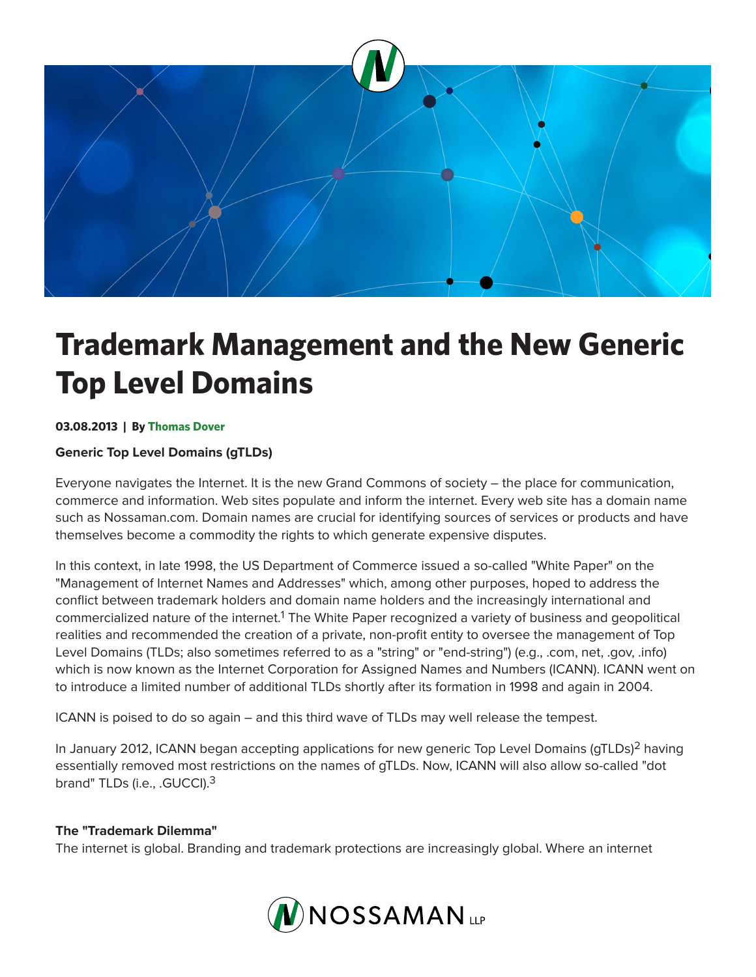

# **Trademark Management and the New Generic Top Level Domains**

#### **03.08.2013 | By Thomas Dover**

#### **Generic Top Level Domains (gTLDs)**

Everyone navigates the Internet. It is the new Grand Commons of society – the place for communication, commerce and information. Web sites populate and inform the internet. Every web site has a domain name such as Nossaman.com. Domain names are crucial for identifying sources of services or products and have themselves become a commodity the rights to which generate expensive disputes.

In this context, in late 1998, the US Department of Commerce issued a so-called "White Paper" on the "Management of Internet Names and Addresses" which, among other purposes, hoped to address the conflict between trademark holders and domain name holders and the increasingly international and commercialized nature of the internet.<sup>1</sup> The White Paper recognized a variety of business and geopolitical realities and recommended the creation of a private, non-profit entity to oversee the management of Top Level Domains (TLDs; also sometimes referred to as a "string" or "end-string") (e.g., .com, net, .gov, .info) which is now known as the Internet Corporation for Assigned Names and Numbers (ICANN). ICANN went on to introduce a limited number of additional TLDs shortly after its formation in 1998 and again in 2004.

ICANN is poised to do so again – and this third wave of TLDs may well release the tempest.

In January 2012, ICANN began accepting applications for new generic Top Level Domains (gTLDs)<sup>2</sup> having essentially removed most restrictions on the names of gTLDs. Now, ICANN will also allow so-called "dot brand" TLDs (i.e., .GUCCI).<sup>3</sup>

#### **The "Trademark Dilemma"**

The internet is global. Branding and trademark protections are increasingly global. Where an internet

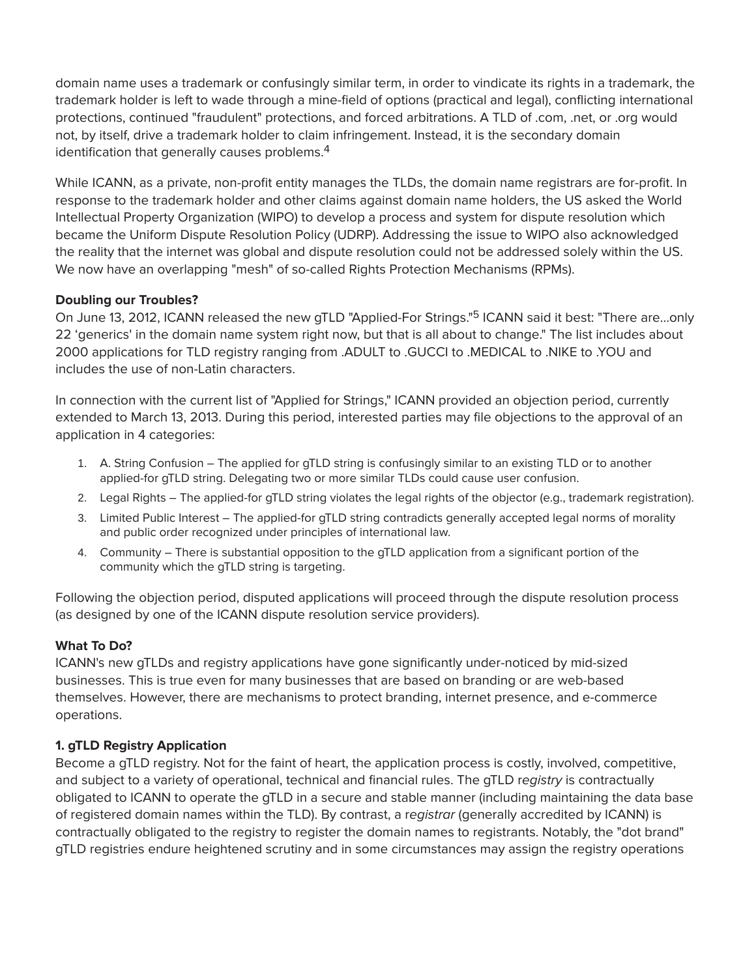domain name uses a trademark or confusingly similar term, in order to vindicate its rights in a trademark, the trademark holder is left to wade through a mine-field of options (practical and legal), conflicting international protections, continued "fraudulent" protections, and forced arbitrations. A TLD of .com, .net, or .org would not, by itself, drive a trademark holder to claim infringement. Instead, it is the secondary domain identification that generally causes problems.<sup>4</sup>

While ICANN, as a private, non-profit entity manages the TLDs, the domain name registrars are for-profit. In response to the trademark holder and other claims against domain name holders, the US asked the World Intellectual Property Organization (WIPO) to develop a process and system for dispute resolution which became the Uniform Dispute Resolution Policy (UDRP). Addressing the issue to WIPO also acknowledged the reality that the internet was global and dispute resolution could not be addressed solely within the US. We now have an overlapping "mesh" of so-called Rights Protection Mechanisms (RPMs).

## **Doubling our Troubles?**

On June 13, 2012, ICANN released the new gTLD "Applied-For Strings."5 ICANN said it best: "There are…only 22 'generics' in the domain name system right now, but that is all about to change." The list includes about 2000 applications for TLD registry ranging from .ADULT to .GUCCI to .MEDICAL to .NIKE to .YOU and includes the use of non-Latin characters.

In connection with the current list of "Applied for Strings," ICANN provided an objection period, currently extended to March 13, 2013. During this period, interested parties may file objections to the approval of an application in 4 categories:

- 1. A. String Confusion The applied for gTLD string is confusingly similar to an existing TLD or to another applied-for gTLD string. Delegating two or more similar TLDs could cause user confusion.
- 2. Legal Rights The applied-for gTLD string violates the legal rights of the objector (e.g., trademark registration).
- 3. Limited Public Interest The applied-for gTLD string contradicts generally accepted legal norms of morality and public order recognized under principles of international law.
- 4. Community There is substantial opposition to the gTLD application from a significant portion of the community which the gTLD string is targeting.

Following the objection period, disputed applications will proceed through the dispute resolution process (as designed by one of the ICANN dispute resolution service providers).

# **What To Do?**

ICANN's new gTLDs and registry applications have gone significantly under-noticed by mid-sized businesses. This is true even for many businesses that are based on branding or are web-based themselves. However, there are mechanisms to protect branding, internet presence, and e-commerce operations.

# **1. gTLD Registry Application**

Become a gTLD registry. Not for the faint of heart, the application process is costly, involved, competitive, and subject to a variety of operational, technical and financial rules. The gTLD r*egistry* is contractually obligated to ICANN to operate the gTLD in a secure and stable manner (including maintaining the data base of registered domain names within the TLD). By contrast, a r*egistrar* (generally accredited by ICANN) is contractually obligated to the registry to register the domain names to registrants. Notably, the "dot brand" gTLD registries endure heightened scrutiny and in some circumstances may assign the registry operations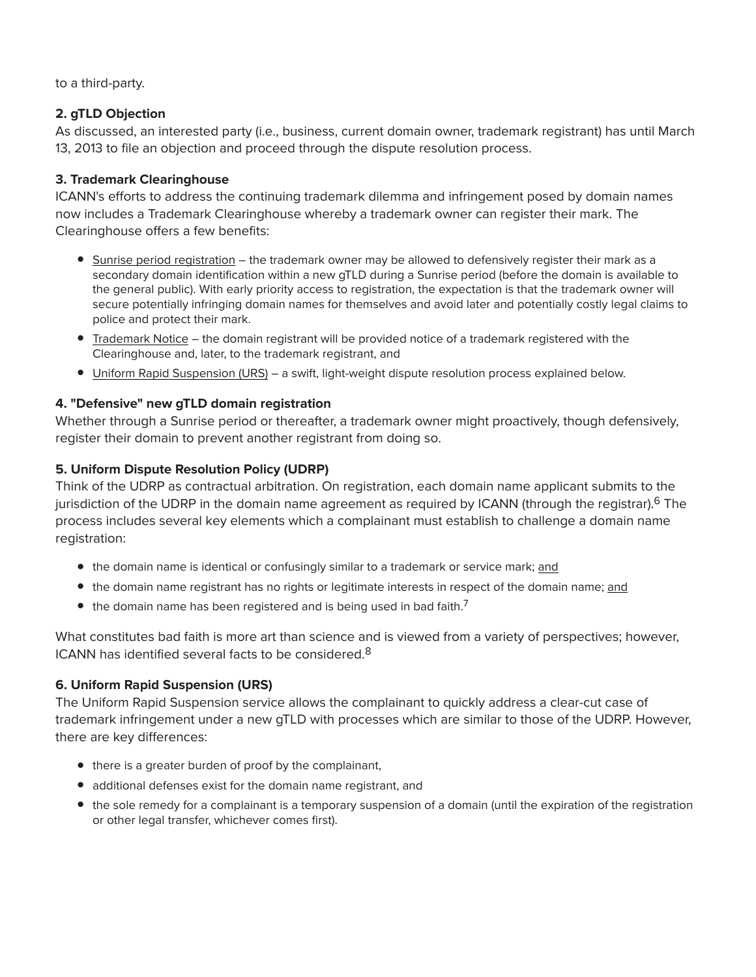to a third-party.

#### **2. gTLD Objection**

As discussed, an interested party (i.e., business, current domain owner, trademark registrant) has until March 13, 2013 to file an objection and proceed through the dispute resolution process.

## **3. Trademark Clearinghouse**

ICANN's efforts to address the continuing trademark dilemma and infringement posed by domain names now includes a Trademark Clearinghouse whereby a trademark owner can register their mark. The Clearinghouse offers a few benefits:

- Sunrise period registration the trademark owner may be allowed to defensively register their mark as a secondary domain identification within a new gTLD during a Sunrise period (before the domain is available to the general public). With early priority access to registration, the expectation is that the trademark owner will secure potentially infringing domain names for themselves and avoid later and potentially costly legal claims to police and protect their mark.
- Trademark Notice the domain registrant will be provided notice of a trademark registered with the Clearinghouse and, later, to the trademark registrant, and
- Uniform Rapid Suspension (URS) a swift, light-weight dispute resolution process explained below.

## **4. "Defensive" new gTLD domain registration**

Whether through a Sunrise period or thereafter, a trademark owner might proactively, though defensively, register their domain to prevent another registrant from doing so.

## **5. Uniform Dispute Resolution Policy (UDRP)**

Think of the UDRP as contractual arbitration. On registration, each domain name applicant submits to the jurisdiction of the UDRP in the domain name agreement as required by ICANN (through the registrar).<sup>6</sup> The process includes several key elements which a complainant must establish to challenge a domain name registration:

- the domain name is identical or confusingly similar to a trademark or service mark; and
- the domain name registrant has no rights or legitimate interests in respect of the domain name; and
- $\bullet$  the domain name has been registered and is being used in bad faith.<sup>7</sup>

What constitutes bad faith is more art than science and is viewed from a variety of perspectives; however, ICANN has identified several facts to be considered.<sup>8</sup>

#### **6. Uniform Rapid Suspension (URS)**

The Uniform Rapid Suspension service allows the complainant to quickly address a clear-cut case of trademark infringement under a new gTLD with processes which are similar to those of the UDRP. However, there are key differences:

- there is a greater burden of proof by the complainant,
- additional defenses exist for the domain name registrant, and
- the sole remedy for a complainant is a temporary suspension of a domain (until the expiration of the registration or other legal transfer, whichever comes first).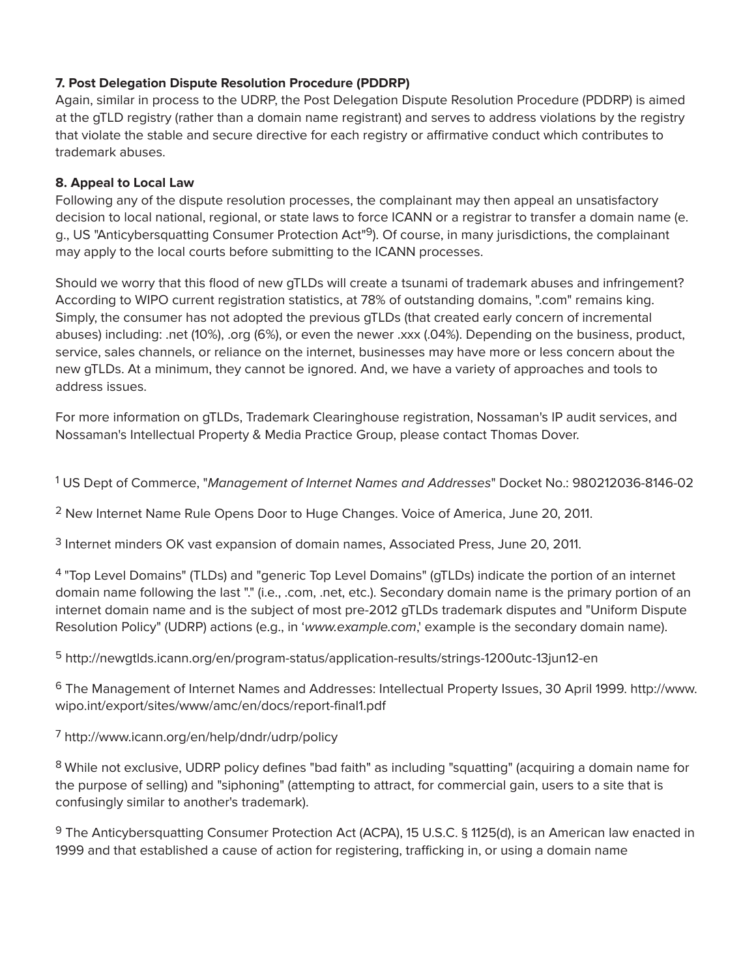## **7. Post Delegation Dispute Resolution Procedure (PDDRP)**

Again, similar in process to the UDRP, the Post Delegation Dispute Resolution Procedure (PDDRP) is aimed at the gTLD registry (rather than a domain name registrant) and serves to address violations by the registry that violate the stable and secure directive for each registry or affirmative conduct which contributes to trademark abuses.

## **8. Appeal to Local Law**

Following any of the dispute resolution processes, the complainant may then appeal an unsatisfactory decision to local national, regional, or state laws to force ICANN or a registrar to transfer a domain name (e. g., US "Anticybersquatting Consumer Protection Act"<sup>9</sup>). Of course, in many jurisdictions, the complainant may apply to the local courts before submitting to the ICANN processes.

Should we worry that this flood of new gTLDs will create a tsunami of trademark abuses and infringement? According to WIPO current registration statistics, at 78% of outstanding domains, ".com" remains king. Simply, the consumer has not adopted the previous gTLDs (that created early concern of incremental abuses) including: .net (10%), .org (6%), or even the newer .xxx (.04%). Depending on the business, product, service, sales channels, or reliance on the internet, businesses may have more or less concern about the new gTLDs. At a minimum, they cannot be ignored. And, we have a variety of approaches and tools to address issues.

For more information on gTLDs, Trademark Clearinghouse registration, Nossaman's IP audit services, and Nossaman's Intellectual Property & Media Practice Group, please contact Thomas Dover.

1 US Dept of Commerce, "*Management of Internet Names and Addresses*" Docket No.: 980212036-8146-02

2 New Internet Name Rule Opens Door to Huge Changes. Voice of America, June 20, 2011.

3 Internet minders OK vast expansion of domain names, Associated Press, June 20, 2011.

4 "Top Level Domains" (TLDs) and "generic Top Level Domains" (gTLDs) indicate the portion of an internet domain name following the last "." (i.e., .com, .net, etc.). Secondary domain name is the primary portion of an internet domain name and is the subject of most pre-2012 gTLDs trademark disputes and "Uniform Dispute Resolution Policy" (UDRP) actions (e.g., in '*www.example.com*,' example is the secondary domain name).

5 http://newgtlds.icann.org/en/program-status/application-results/strings-1200utc-13jun12-en

6 The Management of Internet Names and Addresses: Intellectual Property Issues, 30 April 1999. http://www. wipo.int/export/sites/www/amc/en/docs/report-final1.pdf

# 7 http://www.icann.org/en/help/dndr/udrp/policy

8 While not exclusive, UDRP policy defines "bad faith" as including "squatting" (acquiring a domain name for the purpose of selling) and "siphoning" (attempting to attract, for commercial gain, users to a site that is confusingly similar to another's trademark).

<sup>9</sup> The Anticybersquatting Consumer Protection Act (ACPA), 15 U.S.C. § 1125(d), is an American law enacted in 1999 and that established a cause of action for registering, trafficking in, or using a domain name